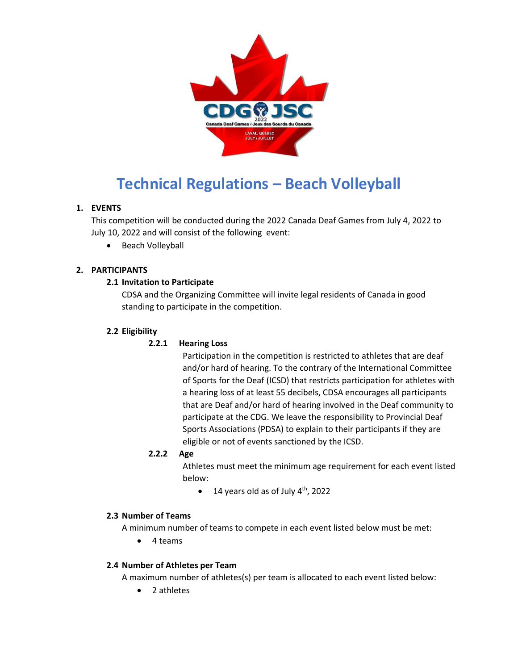

# **Technical Regulations – Beach Volleyball**

# **1. EVENTS**

This competition will be conducted during the 2022 Canada Deaf Games from July 4, 2022 to July 10, 2022 and will consist of the following event:

• Beach Volleyball

# **2. PARTICIPANTS**

## **2.1 Invitation to Participate**

CDSA and the Organizing Committee will invite legal residents of Canada in good standing to participate in the competition.

## **2.2 Eligibility**

# **2.2.1 Hearing Loss**

Participation in the competition is restricted to athletes that are deaf and/or hard of hearing. To the contrary of the International Committee of Sports for the Deaf (ICSD) that restricts participation for athletes with a hearing loss of at least 55 decibels, CDSA encourages all participants that are Deaf and/or hard of hearing involved in the Deaf community to participate at the CDG. We leave the responsibility to Provincial Deaf Sports Associations (PDSA) to explain to their participants if they are eligible or not of events sanctioned by the ICSD.

## **2.2.2 Age**

Athletes must meet the minimum age requirement for each event listed below:

 $\bullet$  14 years old as of July 4<sup>th</sup>, 2022

#### **2.3 Number of Teams**

A minimum number of teams to compete in each event listed below must be met:

4 teams

# **2.4 Number of Athletes per Team**

A maximum number of athletes(s) per team is allocated to each event listed below:

2 athletes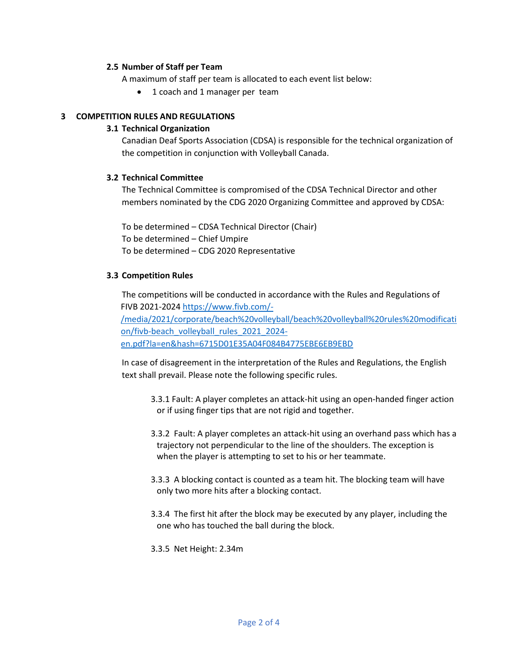#### **2.5 Number of Staff per Team**

A maximum of staff per team is allocated to each event list below:

1 coach and 1 manager per team

#### **3 COMPETITION RULES AND REGULATIONS**

#### **3.1 Technical Organization**

Canadian Deaf Sports Association (CDSA) is responsible for the technical organization of the competition in conjunction with Volleyball Canada.

#### **3.2 Technical Committee**

The Technical Committee is compromised of the CDSA Technical Director and other members nominated by the CDG 2020 Organizing Committee and approved by CDSA:

To be determined – CDSA Technical Director (Chair) To be determined – Chief Umpire To be determined – CDG 2020 Representative

## **3.3 Competition Rules**

The competitions will be conducted in accordance with the Rules and Regulations of FIVB 2021-2024 [https://www.fivb.com/-](https://www.fivb.com/-/media/2021/corporate/beach%20volleyball/beach%20volleyball%20rules%20modification/fivb-beach_volleyball_rules_2021_2024-en.pdf?la=en&hash=6715D01E35A04F084B4775EBE6EB9EBD) [/media/2021/corporate/beach%20volleyball/beach%20volleyball%20rules%20modificati](https://www.fivb.com/-/media/2021/corporate/beach%20volleyball/beach%20volleyball%20rules%20modification/fivb-beach_volleyball_rules_2021_2024-en.pdf?la=en&hash=6715D01E35A04F084B4775EBE6EB9EBD) [on/fivb-beach\\_volleyball\\_rules\\_2021\\_2024](https://www.fivb.com/-/media/2021/corporate/beach%20volleyball/beach%20volleyball%20rules%20modification/fivb-beach_volleyball_rules_2021_2024-en.pdf?la=en&hash=6715D01E35A04F084B4775EBE6EB9EBD) [en.pdf?la=en&hash=6715D01E35A04F084B4775EBE6EB9EBD](https://www.fivb.com/-/media/2021/corporate/beach%20volleyball/beach%20volleyball%20rules%20modification/fivb-beach_volleyball_rules_2021_2024-en.pdf?la=en&hash=6715D01E35A04F084B4775EBE6EB9EBD)

In case of disagreement in the interpretation of the Rules and Regulations, the English text shall prevail. Please note the following specific rules.

- 3.3.1 Fault: A player completes an attack-hit using an open-handed finger action or if using finger tips that are not rigid and together.
- 3.3.2 Fault: A player completes an attack-hit using an overhand pass which has a trajectory not perpendicular to the line of the shoulders. The exception is when the player is attempting to set to his or her teammate.
- 3.3.3 A blocking contact is counted as a team hit. The blocking team will have only two more hits after a blocking contact.
- 3.3.4 The first hit after the block may be executed by any player, including the one who has touched the ball during the block.

3.3.5 Net Height: 2.34m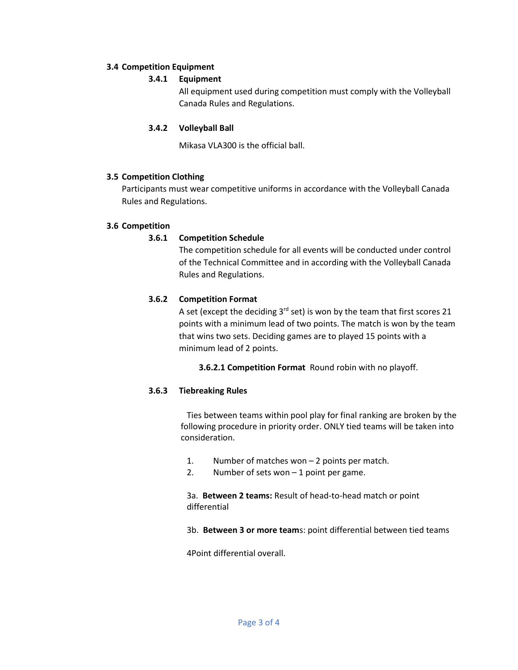## **3.4 Competition Equipment**

## **3.4.1 Equipment**

All equipment used during competition must comply with the Volleyball Canada Rules and Regulations.

## **3.4.2 Volleyball Ball**

Mikasa VLA300 is the official ball.

## **3.5 Competition Clothing**

Participants must wear competitive uniforms in accordance with the Volleyball Canada Rules and Regulations.

## **3.6 Competition**

## **3.6.1 Competition Schedule**

The competition schedule for all events will be conducted under control of the Technical Committee and in according with the Volleyball Canada Rules and Regulations.

## **3.6.2 Competition Format**

A set (except the deciding  $3^{rd}$  set) is won by the team that first scores 21 points with a minimum lead of two points. The match is won by the team that wins two sets. Deciding games are to played 15 points with a minimum lead of 2 points.

**3.6.2.1 Competition Format** Round robin with no playoff.

#### **3.6.3 Tiebreaking Rules**

Ties between teams within pool play for final ranking are broken by the following procedure in priority order. ONLY tied teams will be taken into consideration.

- 1. Number of matches won 2 points per match.
- 2. Number of sets won  $-1$  point per game.

3a. **Between 2 teams:** Result of head-to-head match or point differential

3b. **Between 3 or more team**s: point differential between tied teams

4Point differential overall.